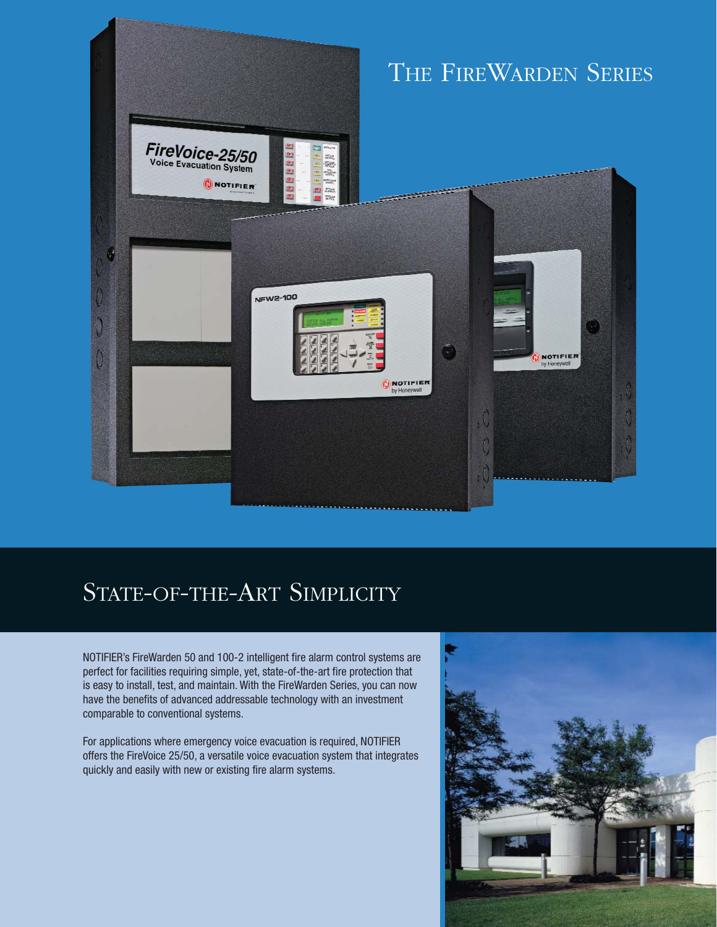

# STATE-OF-THE-ART SIMPLICITY

NOTIFIER's FireWarden 50 and 100-2 intelligent fire alarm control systems are perfect for facilities requiring simple, yet, state-of-the-art fire protection that is easy to install, test, and maintain. With the FireWarden Series, you can now have the benefits of advanced addressable technology with an investment comparable to conventional systems.

For applications where emergency voice evacuation is required, NOTIFIER offers the FireVoice 25/50, a versatile voice evacuation system that integrates quickly and easily with new or existing fire alarm systems.

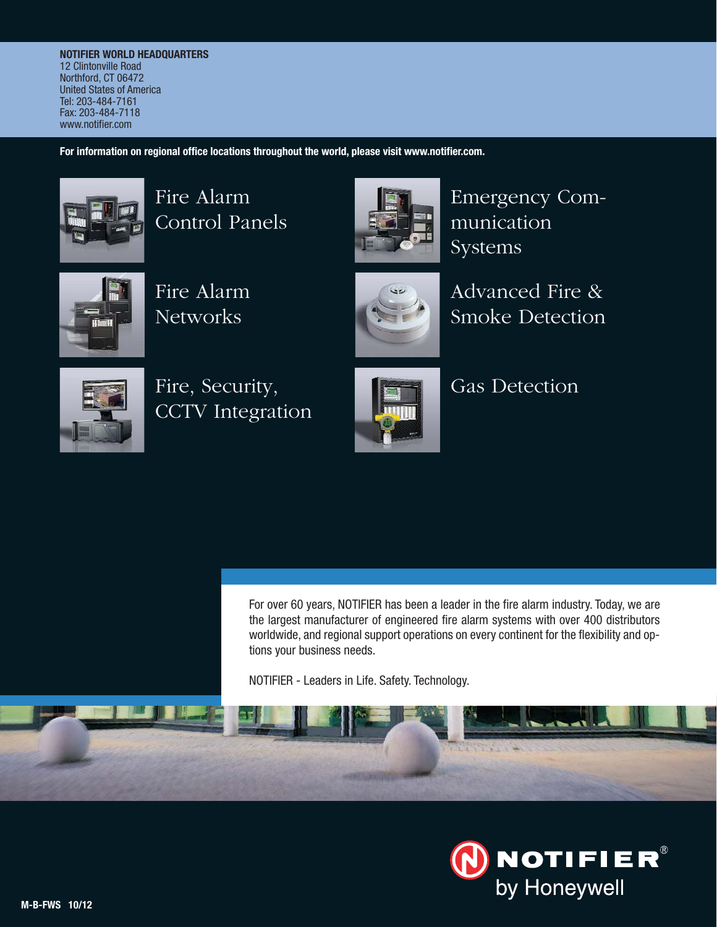**NOTIFIER WORLD HEADQUARTERS** 12 Clintonville Road Northford, CT 06472 United States of America Tel: 203-484-7161 Fax: 203-484-7118 www.notifier.com

**For information on regional office locations throughout the world, please visit www.notifier.com.**



Fire Alarm Control Panels



Emergency Communication Systems



Fire Alarm **Networks** 



Advanced Fire & Smoke Detection



Fire, Security, CCTV Integration



Gas Detection

For over 60 years, NOTIFIER has been a leader in the fire alarm industry. Today, we are the largest manufacturer of engineered fire alarm systems with over 400 distributors worldwide, and regional support operations on every continent for the flexibility and options your business needs.

NOTIFIER - Leaders in Life. Safety. Technology.

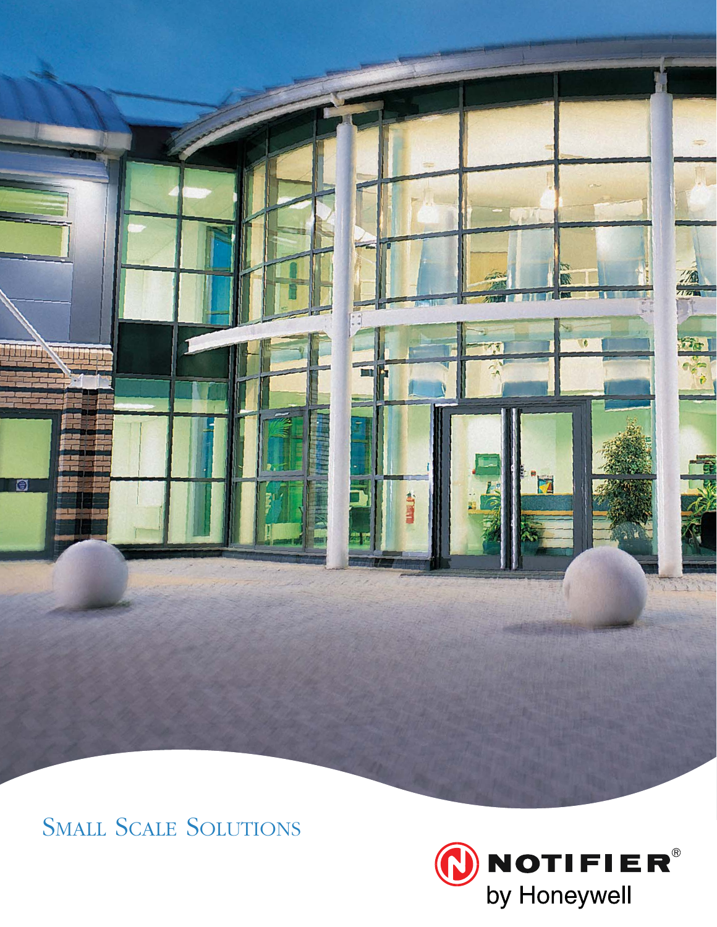

SMALL SCALE SOLUTIONS

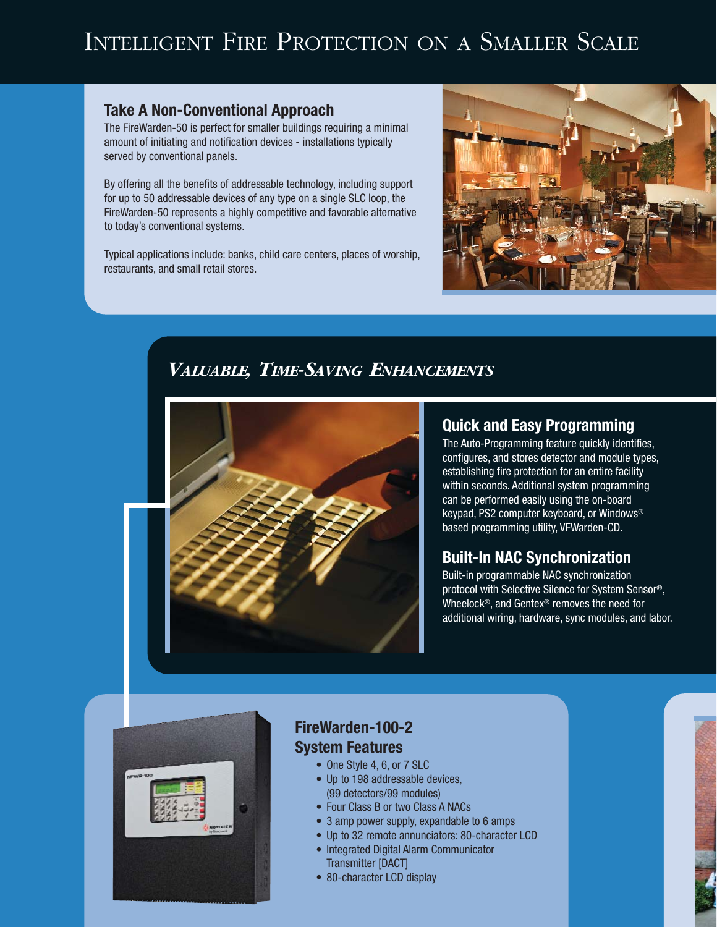# INTELLIGENT FIRE PROTECTION ON A SMALLER SCALE

#### **Take A Non-Conventional Approach**

The FireWarden-50 is perfect for smaller buildings requiring a minimal amount of initiating and notification devices - installations typically served by conventional panels.

By offering all the benefits of addressable technology, including support for up to 50 addressable devices of any type on a single SLC loop, the FireWarden-50 represents a highly competitive and favorable alternative to today's conventional systems.

Typical applications include: banks, child care centers, places of worship, restaurants, and small retail stores.



# *VALUABLE, TIME-SAVING ENHANCEMENTS*



#### **Quick and Easy Programming**

The Auto-Programming feature quickly identifies, configures, and stores detector and module types, establishing fire protection for an entire facility within seconds. Additional system programming can be performed easily using the on-board keypad, PS2 computer keyboard, or Windows® based programming utility, VFWarden-CD.

#### **Built-In NAC Synchronization**

Built-in programmable NAC synchronization protocol with Selective Silence for System Sensor®, Wheelock®, and Gentex® removes the need for additional wiring, hardware, sync modules, and labor.



### **FireWarden-100-2 System Features**

- One Style 4, 6, or 7 SLC
- Up to 198 addressable devices, (99 detectors/99 modules)
- Four Class B or two Class A NACs
- 3 amp power supply, expandable to 6 amps
- Up to 32 remote annunciators: 80-character LCD
- Integrated Digital Alarm Communicator Transmitter [DACT]
- 80-character LCD display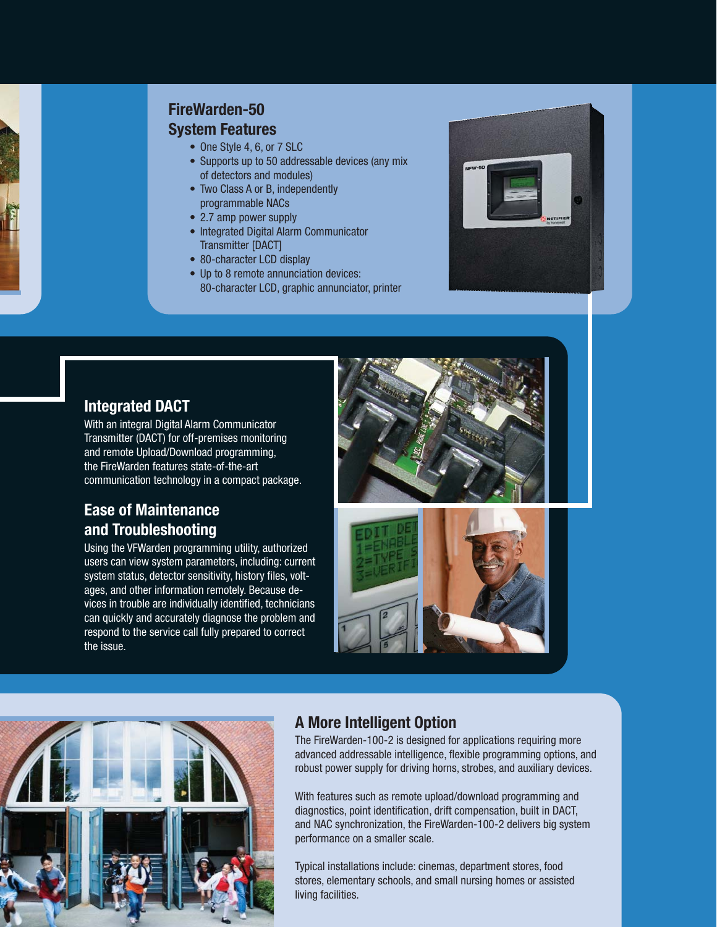

## **FireWarden-50**

#### **System Features**

- One Style 4, 6, or 7 SLC
- Supports up to 50 addressable devices (any mix of detectors and modules)
- Two Class A or B, independently programmable NACs
- 2.7 amp power supply
- Integrated Digital Alarm Communicator Transmitter [DACT]
- 80-character LCD display
- Up to 8 remote annunciation devices: 80-character LCD, graphic annunciator, printer



### **Integrated DACT**

With an integral Digital Alarm Communicator Transmitter (DACT) for off-premises monitoring and remote Upload/Download programming, the FireWarden features state-of-the-art communication technology in a compact package.

### **Ease of Maintenance and Troubleshooting**

Using the VFWarden programming utility, authorized users can view system parameters, including: current system status, detector sensitivity, history files, voltages, and other information remotely. Because devices in trouble are individually identified, technicians can quickly and accurately diagnose the problem and respond to the service call fully prepared to correct the issue.







# **A More Intelligent Option**

The FireWarden-100-2 is designed for applications requiring more advanced addressable intelligence, flexible programming options, and robust power supply for driving horns, strobes, and auxiliary devices.

With features such as remote upload/download programming and diagnostics, point identification, drift compensation, built in DACT, and NAC synchronization, the FireWarden-100-2 delivers big system performance on a smaller scale.

Typical installations include: cinemas, department stores, food stores, elementary schools, and small nursing homes or assisted living facilities.